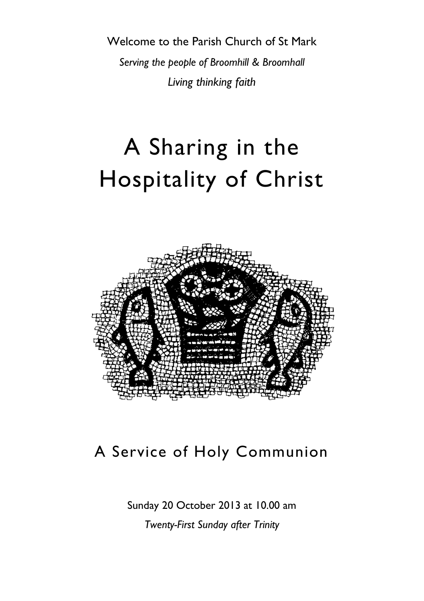Welcome to the Parish Church of St Mark *Serving the people of Broomhill & Broomhall Living thinking faith*

# A Sharing in the Hospitality of Christ



# A Service of Holy Communion

Sunday 20 October 2013 at 10.00 am

*Twenty-First Sunday after Trinity*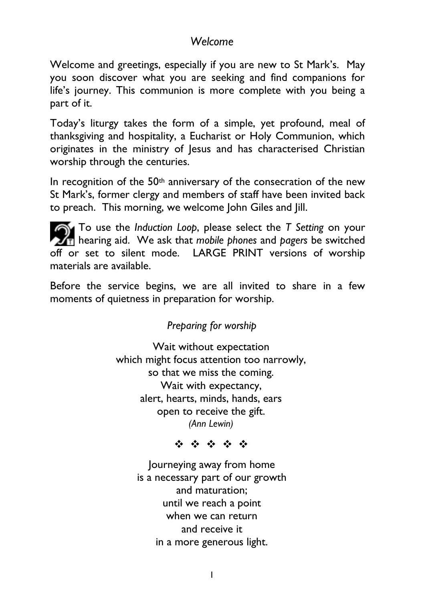# *Welcome*

Welcome and greetings, especially if you are new to St Mark's. May you soon discover what you are seeking and find companions for life's journey. This communion is more complete with you being a part of it.

Today's liturgy takes the form of a simple, yet profound, meal of thanksgiving and hospitality, a Eucharist or Holy Communion, which originates in the ministry of Jesus and has characterised Christian worship through the centuries.

In recognition of the  $50<sup>th</sup>$  anniversary of the consecration of the new St Mark's, former clergy and members of staff have been invited back to preach. This morning, we welcome John Giles and Jill.

To use the *Induction Loop*, please select the *T Setting* on your  $\mathcal{F}_{\overline{1}}$  hearing aid. We ask that *mobile phones* and *pagers* be switched off or set to silent mode. LARGE PRINT versions of worship materials are available.

Before the service begins, we are all invited to share in a few moments of quietness in preparation for worship.

# *Preparing for worship*

Wait without expectation which might focus attention too narrowly, so that we miss the coming. Wait with expectancy, alert, hearts, minds, hands, ears open to receive the gift. *(Ann Lewin)*

 $\label{eq:2.1} \begin{array}{cccccccccccccc} \mathcal{E}_{\mathcal{F}} & \mathcal{E}_{\mathcal{F}} & \mathcal{E}_{\mathcal{F}} & \mathcal{E}_{\mathcal{F}} & \mathcal{E}_{\mathcal{F}} & \mathcal{E}_{\mathcal{F}} \end{array} \end{array}$ 

Journeying away from home is a necessary part of our growth and maturation; until we reach a point when we can return and receive it in a more generous light.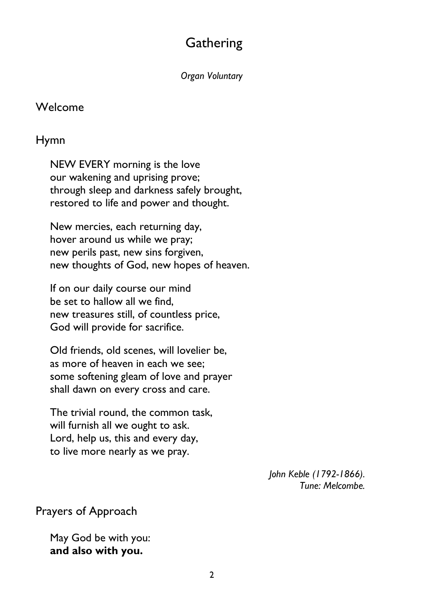# **Gathering**

*Organ Voluntary*

### Welcome

# Hymn

NEW EVERY morning is the love our wakening and uprising prove; through sleep and darkness safely brought, restored to life and power and thought.

New mercies, each returning day, hover around us while we pray; new perils past, new sins forgiven, new thoughts of God, new hopes of heaven.

If on our daily course our mind be set to hallow all we find, new treasures still, of countless price, God will provide for sacrifice.

Old friends, old scenes, will lovelier be, as more of heaven in each we see; some softening gleam of love and prayer shall dawn on every cross and care.

The trivial round, the common task, will furnish all we ought to ask. Lord, help us, this and every day, to live more nearly as we pray.

> *John Keble (1792-1866). Tune: Melcombe.*

Prayers of Approach

May God be with you: **and also with you.**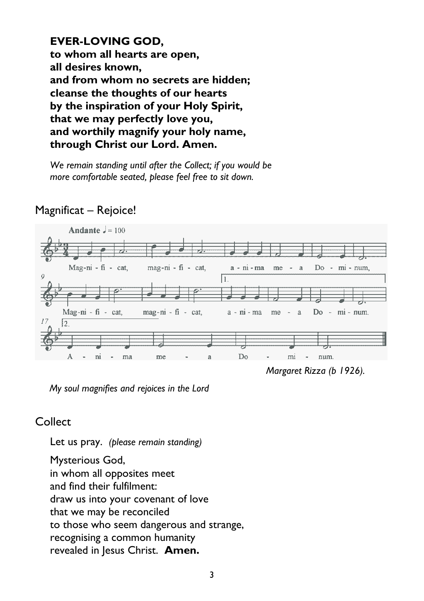**EVER-LOVING GOD, to whom all hearts are open, all desires known, and from whom no secrets are hidden; cleanse the thoughts of our hearts by the inspiration of your Holy Spirit, that we may perfectly love you, and worthily magnify your holy name, through Christ our Lord. Amen.**

*We remain standing until after the Collect; if you would be more comfortable seated, please feel free to sit down.*



# Magnificat – Rejoice!

*Margaret Rizza (b 1926).*

*My soul magnifies and rejoices in the Lord*

# **Collect**

Let us pray. *(please remain standing)*

Mysterious God, in whom all opposites meet and find their fulfilment: draw us into your covenant of love that we may be reconciled to those who seem dangerous and strange, recognising a common humanity revealed in Jesus Christ. **Amen.**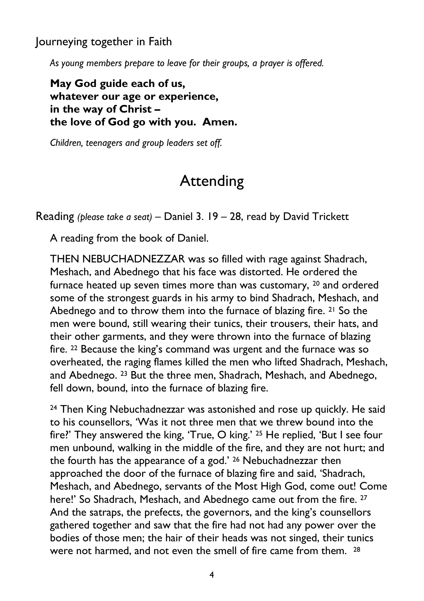Journeying together in Faith

*As young members prepare to leave for their groups, a prayer is offered.*

**May God guide each of us, whatever our age or experience, in the way of Christ – the love of God go with you. Amen.**

*Children, teenagers and group leaders set off.*

# Attending

Reading *(please take a seat)* – Daniel 3. 19 – 28, read by David Trickett

A reading from the book of Daniel.

THEN NEBUCHADNEZZAR was so filled with rage against Shadrach, Meshach, and Abednego that his face was distorted. He ordered the furnace heated up seven times more than was customary, <sup>20</sup> and ordered some of the strongest guards in his army to bind Shadrach, Meshach, and Abednego and to throw them into the furnace of blazing fire. <sup>21</sup> So the men were bound, still wearing their tunics, their trousers, their hats, and their other garments, and they were thrown into the furnace of blazing fire. <sup>22</sup> Because the king's command was urgent and the furnace was so overheated, the raging flames killed the men who lifted Shadrach, Meshach, and Abednego. <sup>23</sup> But the three men, Shadrach, Meshach, and Abednego, fell down, bound, into the furnace of blazing fire.

<sup>24</sup> Then King Nebuchadnezzar was astonished and rose up quickly. He said to his counsellors, 'Was it not three men that we threw bound into the fire?' They answered the king, 'True, O king.' <sup>25</sup> He replied, 'But I see four men unbound, walking in the middle of the fire, and they are not hurt; and the fourth has the appearance of a god.' <sup>26</sup> Nebuchadnezzar then approached the door of the furnace of blazing fire and said, 'Shadrach, Meshach, and Abednego, servants of the Most High God, come out! Come here!' So Shadrach, Meshach, and Abednego came out from the fire. <sup>27</sup> And the satraps, the prefects, the governors, and the king's counsellors gathered together and saw that the fire had not had any power over the bodies of those men; the hair of their heads was not singed, their tunics were not harmed, and not even the smell of fire came from them. <sup>28</sup>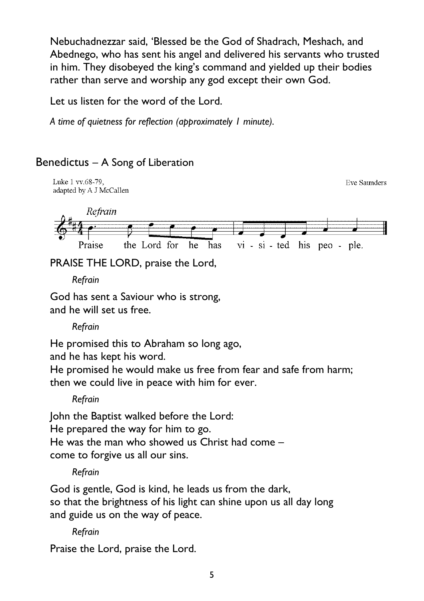Nebuchadnezzar said, 'Blessed be the God of Shadrach, Meshach, and Abednego, who has sent his angel and delivered his servants who trusted in him. They disobeyed the king's command and yielded up their bodies rather than serve and worship any god except their own God.

Let us listen for the word of the Lord.

*A time of quietness for reflection (approximately 1 minute).*

# Benedictus – A Song of Liberation



PRAISE THE LORD, praise the Lord,

*Refrain*

God has sent a Saviour who is strong, and he will set us free.

*Refrain*

He promised this to Abraham so long ago,

and he has kept his word.

He promised he would make us free from fear and safe from harm; then we could live in peace with him for ever.

*Refrain*

John the Baptist walked before the Lord:

He prepared the way for him to go.

He was the man who showed us Christ had come – come to forgive us all our sins.

*Refrain*

God is gentle, God is kind, he leads us from the dark, so that the brightness of his light can shine upon us all day long and guide us on the way of peace.

*Refrain*

Praise the Lord, praise the Lord.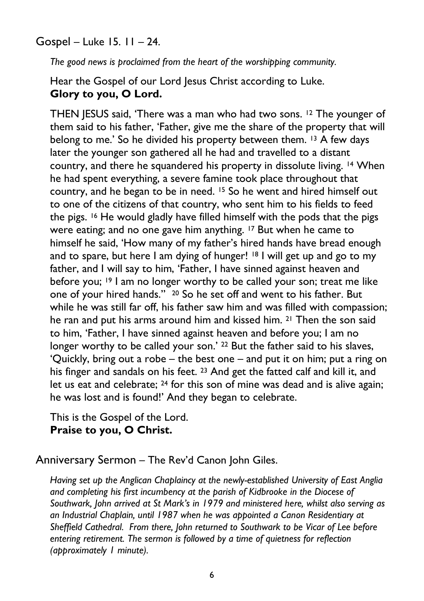Gospel – Luke 15. 11 – 24.

*The good news is proclaimed from the heart of the worshipping community.*

Hear the Gospel of our Lord Jesus Christ according to Luke. **Glory to you, O Lord.**

THEN JESUS said, 'There was a man who had two sons. <sup>12</sup> The younger of them said to his father, 'Father, give me the share of the property that will belong to me.' So he divided his property between them. <sup>13</sup> A few days later the younger son gathered all he had and travelled to a distant country, and there he squandered his property in dissolute living. <sup>14</sup> When he had spent everything, a severe famine took place throughout that country, and he began to be in need. <sup>15</sup> So he went and hired himself out to one of the citizens of that country, who sent him to his fields to feed the pigs. <sup>16</sup> He would gladly have filled himself with the pods that the pigs were eating; and no one gave him anything. <sup>17</sup> But when he came to himself he said, 'How many of my father's hired hands have bread enough and to spare, but here I am dying of hunger! <sup>18</sup> I will get up and go to my father, and I will say to him, 'Father, I have sinned against heaven and before you; <sup>19</sup> I am no longer worthy to be called your son; treat me like one of your hired hands.'' <sup>20</sup> So he set off and went to his father. But while he was still far off, his father saw him and was filled with compassion; he ran and put his arms around him and kissed him. <sup>21</sup> Then the son said to him, 'Father, I have sinned against heaven and before you; I am no longer worthy to be called your son.' <sup>22</sup> But the father said to his slaves, 'Quickly, bring out a robe – the best one – and put it on him; put a ring on his finger and sandals on his feet. <sup>23</sup> And get the fatted calf and kill it, and let us eat and celebrate; <sup>24</sup> for this son of mine was dead and is alive again; he was lost and is found!' And they began to celebrate.

This is the Gospel of the Lord. **Praise to you, O Christ.**

Anniversary Sermon – The Rev'd Canon John Giles.

*Having set up the Anglican Chaplaincy at the newly-established University of East Anglia and completing his first incumbency at the parish of Kidbrooke in the Diocese of Southwark, John arrived at St Mark's in 1979 and ministered here, whilst also serving as an Industrial Chaplain, until 1987 when he was appointed a Canon Residentiary at Sheffield Cathedral. From there, John returned to Southwark to be Vicar of Lee before entering retirement. The sermon is followed by a time of quietness for reflection (approximately 1 minute).*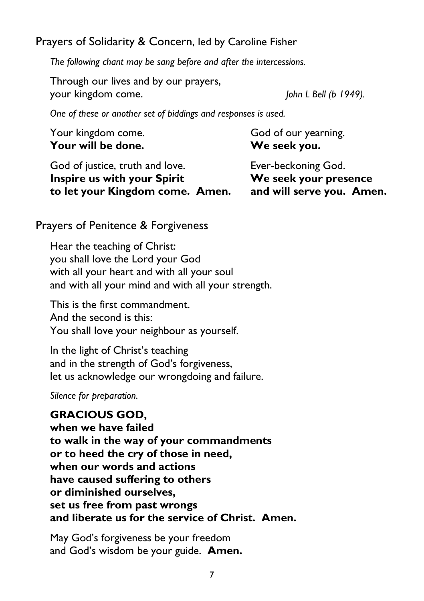Prayers of Solidarity & Concern, led by Caroline Fisher

*The following chant may be sang before and after the intercessions.*

Through our lives and by our prayers, your kingdom come. *John L Bell (b 1949).*

*One of these or another set of biddings and responses is used.*

| Your kingdom come.<br>Your will be done. | God of our yearning.<br>We seek you. |
|------------------------------------------|--------------------------------------|
| God of justice, truth and love.          | Ever-beckoning God.                  |
| <b>Inspire us with your Spirit</b>       | We seek your presence                |
| to let your Kingdom come. Amen.          | and will serve you. Amen.            |

Prayers of Penitence & Forgiveness

Hear the teaching of Christ: you shall love the Lord your God with all your heart and with all your soul and with all your mind and with all your strength.

This is the first commandment. And the second is this: You shall love your neighbour as yourself.

In the light of Christ's teaching and in the strength of God's forgiveness, let us acknowledge our wrongdoing and failure.

*Silence for preparation.*

# **GRACIOUS GOD,**

**when we have failed to walk in the way of your commandments or to heed the cry of those in need, when our words and actions have caused suffering to others or diminished ourselves, set us free from past wrongs and liberate us for the service of Christ. Amen.**

May God's forgiveness be your freedom and God's wisdom be your guide. **Amen.**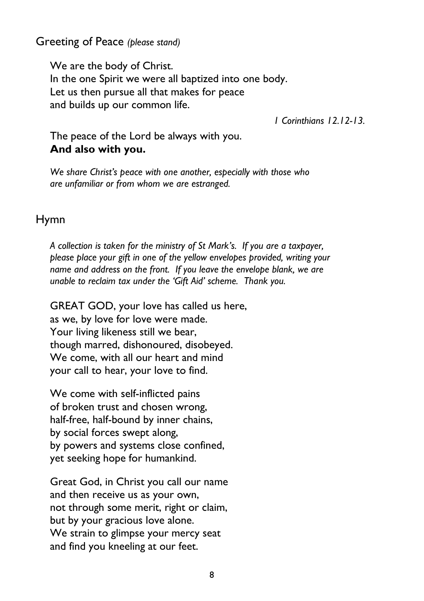Greeting of Peace *(please stand)*

We are the body of Christ. In the one Spirit we were all baptized into one body. Let us then pursue all that makes for peace and builds up our common life.

*1 Corinthians 12.12-13.*

The peace of the Lord be always with you. **And also with you.**

*We share Christ's peace with one another, especially with those who are unfamiliar or from whom we are estranged.*

# Hymn

*A collection is taken for the ministry of St Mark's. If you are a taxpayer, please place your gift in one of the yellow envelopes provided, writing your name and address on the front. If you leave the envelope blank, we are unable to reclaim tax under the 'Gift Aid' scheme. Thank you.*

GREAT GOD, your love has called us here, as we, by love for love were made. Your living likeness still we bear, though marred, dishonoured, disobeyed. We come, with all our heart and mind your call to hear, your love to find.

We come with self-inflicted pains of broken trust and chosen wrong, half-free, half-bound by inner chains, by social forces swept along, by powers and systems close confined, yet seeking hope for humankind.

Great God, in Christ you call our name and then receive us as your own, not through some merit, right or claim, but by your gracious love alone. We strain to glimpse your mercy seat and find you kneeling at our feet.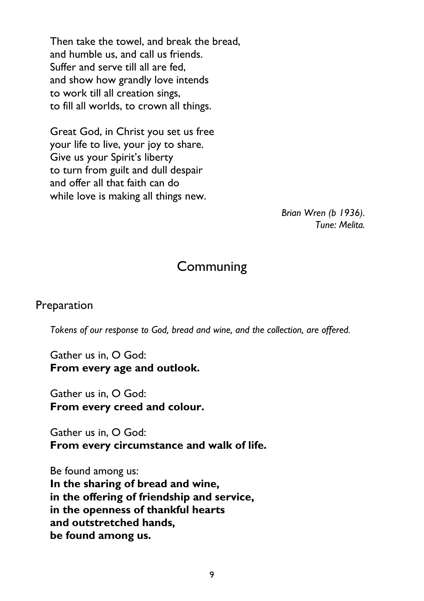Then take the towel, and break the bread, and humble us, and call us friends. Suffer and serve till all are fed, and show how grandly love intends to work till all creation sings, to fill all worlds, to crown all things.

Great God, in Christ you set us free your life to live, your joy to share. Give us your Spirit's liberty to turn from guilt and dull despair and offer all that faith can do while love is making all things new.

> *Brian Wren (b 1936). Tune: Melita.*

# **Communing**

### Preparation

*Tokens of our response to God, bread and wine, and the collection, are offered.*

Gather us in, O God: **From every age and outlook.**

Gather us in, O God: **From every creed and colour.**

Gather us in, O God: **From every circumstance and walk of life.**

Be found among us: **In the sharing of bread and wine, in the offering of friendship and service, in the openness of thankful hearts and outstretched hands, be found among us.**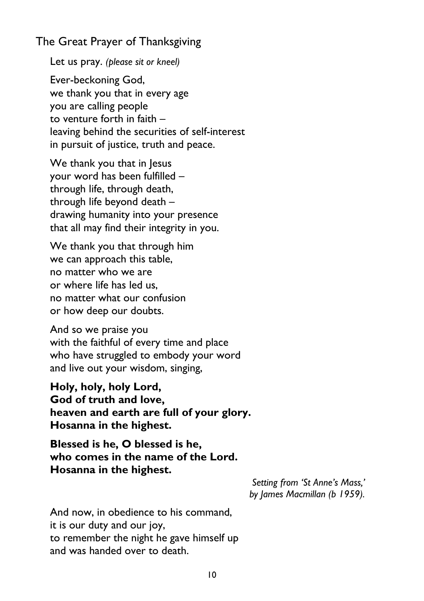# The Great Prayer of Thanksgiving

Let us pray. *(please sit or kneel)*

Ever-beckoning God, we thank you that in every age you are calling people to venture forth in faith – leaving behind the securities of self-interest in pursuit of justice, truth and peace.

We thank you that in Jesus your word has been fulfilled – through life, through death, through life beyond death – drawing humanity into your presence that all may find their integrity in you.

We thank you that through him we can approach this table, no matter who we are or where life has led us, no matter what our confusion or how deep our doubts.

And so we praise you with the faithful of every time and place who have struggled to embody your word and live out your wisdom, singing,

**Holy, holy, holy Lord, God of truth and love, heaven and earth are full of your glory. Hosanna in the highest.**

**Blessed is he, O blessed is he, who comes in the name of the Lord. Hosanna in the highest.**

> *Setting from 'St Anne's Mass,' by James Macmillan (b 1959).*

And now, in obedience to his command, it is our duty and our joy, to remember the night he gave himself up and was handed over to death.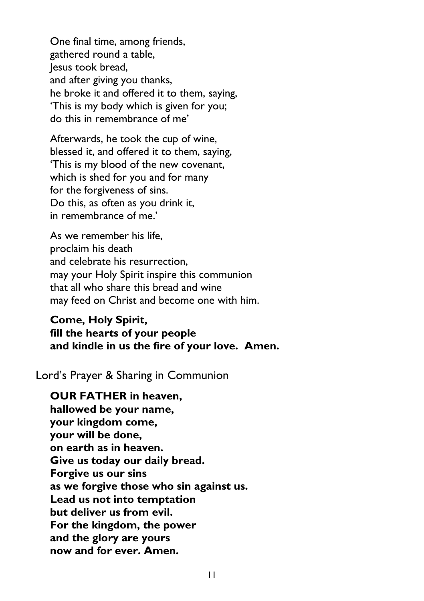One final time, among friends, gathered round a table, lesus took bread. and after giving you thanks, he broke it and offered it to them, saying, 'This is my body which is given for you; do this in remembrance of me'

Afterwards, he took the cup of wine, blessed it, and offered it to them, saying, 'This is my blood of the new covenant, which is shed for you and for many for the forgiveness of sins. Do this, as often as you drink it, in remembrance of me.'

As we remember his life, proclaim his death and celebrate his resurrection, may your Holy Spirit inspire this communion that all who share this bread and wine may feed on Christ and become one with him.

#### **Come, Holy Spirit, fill the hearts of your people and kindle in us the fire of your love. Amen.**

Lord's Prayer & Sharing in Communion

**OUR FATHER in heaven, hallowed be your name, your kingdom come, your will be done, on earth as in heaven. Give us today our daily bread. Forgive us our sins as we forgive those who sin against us. Lead us not into temptation but deliver us from evil. For the kingdom, the power and the glory are yours now and for ever. Amen.**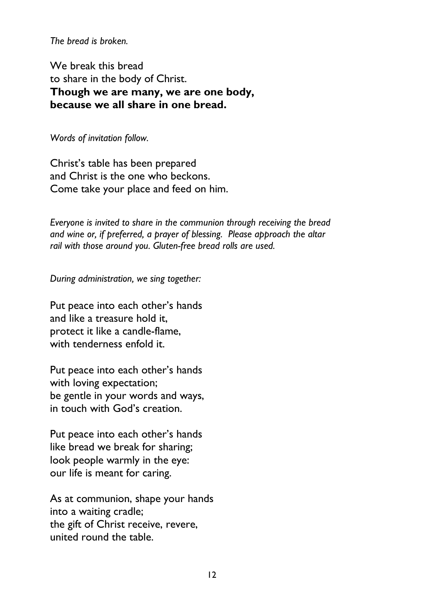*The bread is broken.*

We break this bread to share in the body of Christ. **Though we are many, we are one body, because we all share in one bread.**

*Words of invitation follow.*

Christ's table has been prepared and Christ is the one who beckons. Come take your place and feed on him.

*Everyone is invited to share in the communion through receiving the bread and wine or, if preferred, a prayer of blessing. Please approach the altar rail with those around you. Gluten-free bread rolls are used.*

*During administration, we sing together:*

Put peace into each other's hands and like a treasure hold it, protect it like a candle-flame, with tenderness enfold it.

Put peace into each other's hands with loving expectation; be gentle in your words and ways, in touch with God's creation.

Put peace into each other's hands like bread we break for sharing; look people warmly in the eye: our life is meant for caring.

As at communion, shape your hands into a waiting cradle; the gift of Christ receive, revere, united round the table.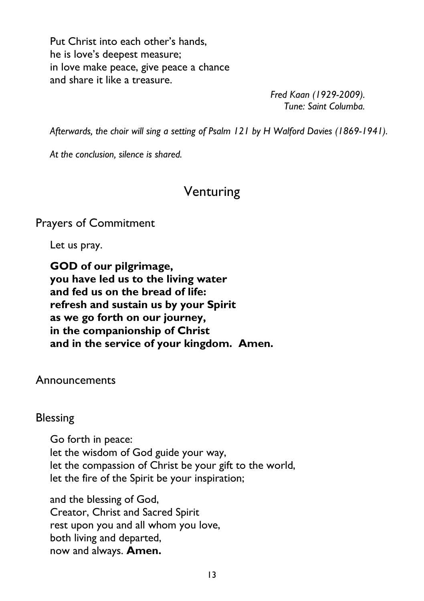Put Christ into each other's hands, he is love's deepest measure; in love make peace, give peace a chance and share it like a treasure.

> *Fred Kaan (1929-2009). Tune: Saint Columba.*

*Afterwards, the choir will sing a setting of Psalm 121 by H Walford Davies (1869-1941).*

*At the conclusion, silence is shared.*

# Venturing

Prayers of Commitment

Let us pray.

**GOD of our pilgrimage, you have led us to the living water and fed us on the bread of life: refresh and sustain us by your Spirit as we go forth on our journey, in the companionship of Christ and in the service of your kingdom. Amen.**

Announcements

#### Blessing

Go forth in peace: let the wisdom of God guide your way, let the compassion of Christ be your gift to the world, let the fire of the Spirit be your inspiration;

and the blessing of God, Creator, Christ and Sacred Spirit rest upon you and all whom you love, both living and departed, now and always. **Amen.**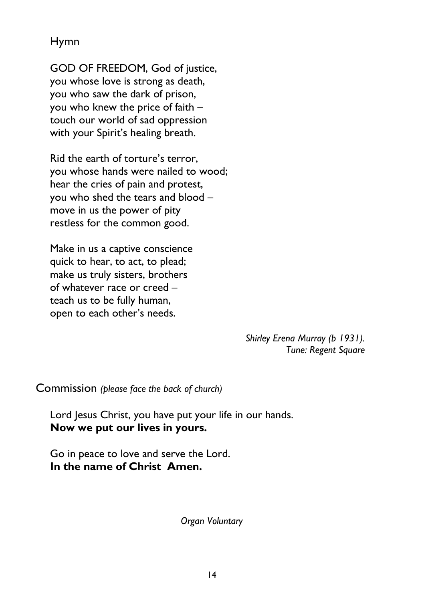Hymn

GOD OF FREEDOM, God of justice, you whose love is strong as death, you who saw the dark of prison, you who knew the price of faith – touch our world of sad oppression with your Spirit's healing breath.

Rid the earth of torture's terror, you whose hands were nailed to wood; hear the cries of pain and protest, you who shed the tears and blood – move in us the power of pity restless for the common good.

Make in us a captive conscience quick to hear, to act, to plead; make us truly sisters, brothers of whatever race or creed – teach us to be fully human, open to each other's needs.

> *Shirley Erena Murray (b 1931). Tune: Regent Square*

Commission *(please face the back of church)*

Lord Jesus Christ, you have put your life in our hands. **Now we put our lives in yours.**

Go in peace to love and serve the Lord. **In the name of Christ Amen.**

*Organ Voluntary*